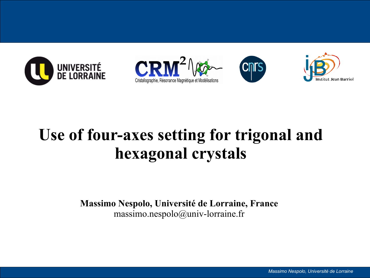







# **Use of four-axes setting for trigonal and hexagonal crystals**

**Massimo Nespolo, Université de Lorraine, France** massimo.nespolo@univ-lorraine.fr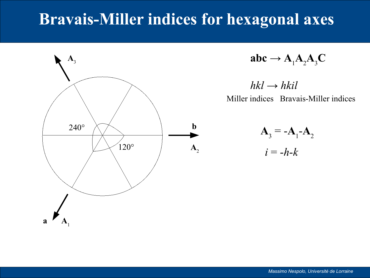## **Bravais-Miller indices for hexagonal axes**



$$
abc \rightarrow A_1 A_2 A_3 C
$$

 $hkl \rightarrow hkil$ Miller indices Bravais-Miller indices

> $A_3 = -A_1 - A_2$  $i = -h-k$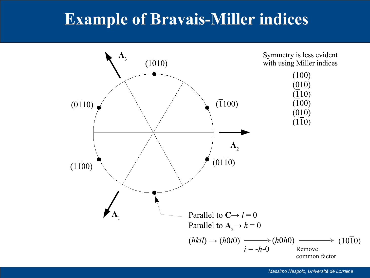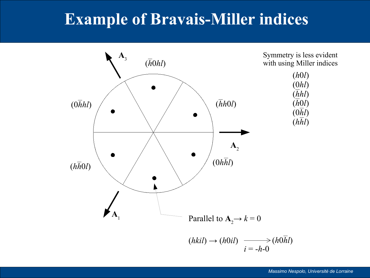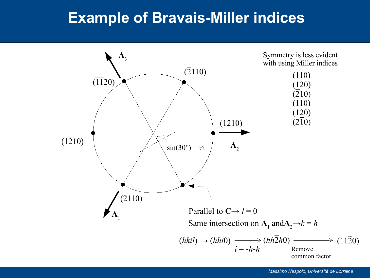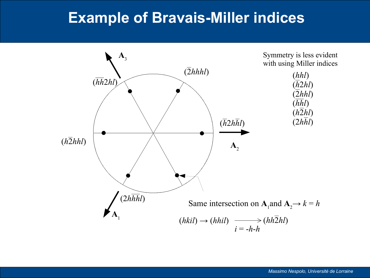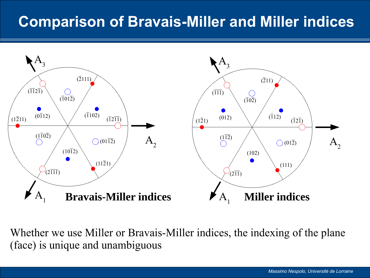### **Comparison of Bravais-Miller and Miller indices**



Whether we use Miller or Bravais-Miller indices, the indexing of the plane (face) is unique and unambiguous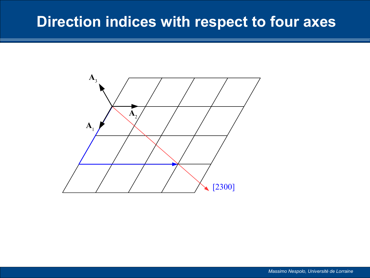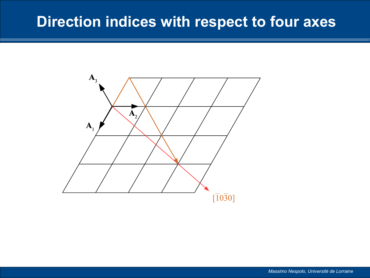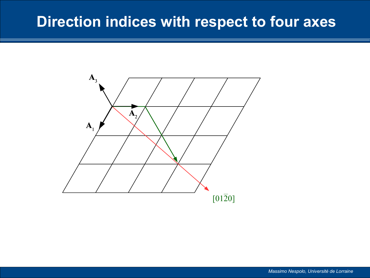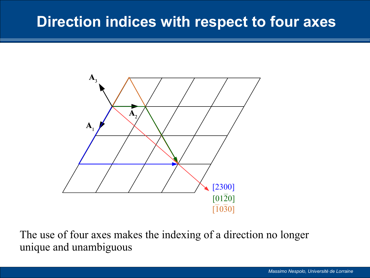

The use of four axes makes the indexing of a direction no longer unique and unambiguous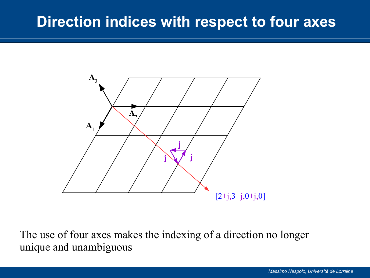

The use of four axes makes the indexing of a direction no longer unique and unambiguous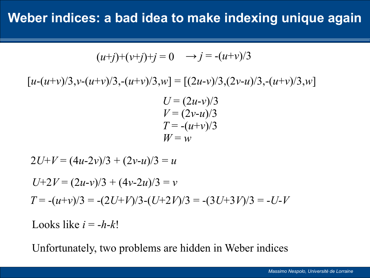$$
(u+j)+(v+j)+j=0 \quad \rightarrow j=-(u+v)/3
$$

 $[u-(u+v)/3, v-(u+v)/3, -(u+v)/3, w] = [(2u-v)/3, (2v-u)/3, -(u+v)/3, w]$ 

 $U = (2u-v)/3$  $V = (2v - u)/3$  $T = -(u+v)/3$  $W = w$ 

$$
2U+V = (4u-2v)/3 + (2v-u)/3 = u
$$
  
U+2V = (2u-v)/3 + (4v-2u)/3 = v  

$$
T = -(u+v)/3 = -(2U+V)/3 - (U+2V)/3 = -(3U+3V)/3 = -U-V
$$
  
Looks like  $i = -h-k!$ 

Unfortunately, two problems are hidden in Weber indices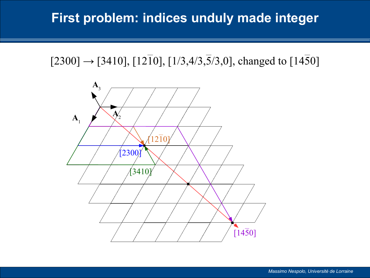#### **First problem: indices unduly made integer**



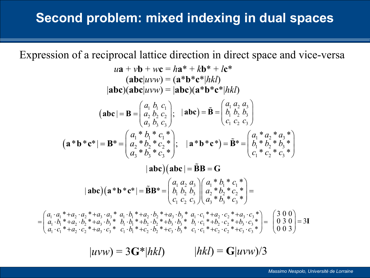Expression of a reciprocal lattice direction in direct space and vice-versa

$$
u\mathbf{a} + v\mathbf{b} + w\mathbf{c} = h\mathbf{a}^* + k\mathbf{b}^* + l\mathbf{c}^*
$$
\n
$$
(\mathbf{abc}|uvw) = (\mathbf{a}^* \mathbf{b}^* \mathbf{c}^* | hkl)
$$
\n
$$
|\mathbf{abc}||\mathbf{abc}|uvw = |\mathbf{abc}||\mathbf{a}^* \mathbf{b}^* \mathbf{c}^* | hkl)
$$
\n
$$
(\mathbf{abc}| = \mathbf{B} = \begin{pmatrix} a_1 & b_1 & c_1 \\ a_2 & b_2 & c_2 \\ a_3 & b_3 & c_3 \end{pmatrix}; \quad |\mathbf{abc}| = \mathbf{B} = \begin{pmatrix} a_1 & a_2 & a_3 \\ b_1 & b_2 & b_3 \\ c_1 & c_2 & c_3 \end{pmatrix}
$$
\n
$$
(\mathbf{a}^* \mathbf{b}^* \mathbf{c}^* | = \mathbf{B}^* = \begin{pmatrix} a_1^* & b_1^* & c_1^* \\ a_2^* & b_2^* & c_2^* \\ a_3^* & b_3^* & c_3^* \end{pmatrix}; \quad |\mathbf{a}^* \mathbf{b}^* \mathbf{c}^*| = \mathbf{B}^* = \begin{pmatrix} a_1^* & a_2^* & a_3^* \\ b_1^* & b_2^* & b_3^* \\ c_1^* & c_2^* & c_3^* \end{pmatrix}
$$
\n
$$
|\mathbf{abc}|(\mathbf{abc}| = \mathbf{B}\mathbf{B} = \mathbf{G}
$$
\n
$$
|\mathbf{abc}|(\mathbf{a}^* \mathbf{b}^* \mathbf{c}^* | = \mathbf{B}\mathbf{B}^* = \begin{pmatrix} a_1a_2 & a_3 \\ b_1 & b_2 & b_3 \\ c_1 & c_2 & c_3 \end{pmatrix} \begin{pmatrix} a_1^* & b_1^* & c_1^* \\ a_2^* & b_2^* & c_2^* \\ a_3^* & b_3^* & c_3^* \end{pmatrix} =
$$
\n
$$
= \begin{pmatrix} a_1 \cdot a_1^* + a_2 \cdot a_2^* + a_3 \cdot a_3^* &
$$

 $|uvw$ ) = 3G\*|*hkl*)  $|hkl$  = G|*uvw*)/3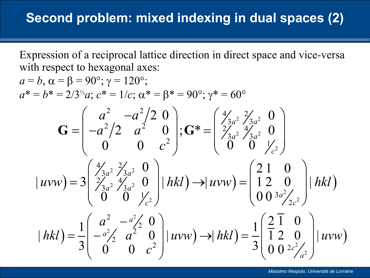Expression of a reciprocal lattice direction in direct space and vice-versa with respect to hexagonal axes:

$$
a = b, \alpha = \beta = 90^{\circ}; \gamma = 120^{\circ};
$$
  
\n
$$
a^* = b^* = 2/3^{1/2}a; c^* = 1/c; \alpha^* = \beta^* = 90^{\circ}; \gamma^* = 60^{\circ}
$$
  
\n
$$
\mathbf{G} = \begin{pmatrix} a^2 & -a^2/2 & 0 \\ -a^2/2 & a^2 & 0 \\ 0 & 0 & c^2 \end{pmatrix}; \mathbf{G}^* = \begin{pmatrix} 4/3a^2 & 2/3a^2 & 0 \\ 2/3a^2 & 4/3a^2 & 0 \\ 0 & 0 & 0 \\ 0 & 0 & 0 \end{pmatrix}
$$
  
\n
$$
|uvw| = 3\begin{pmatrix} 4/3a^2 & 2/3a^2 & 0 \\ 2/3a^2 & 4/3a^2 & 0 \\ 0 & 0 & 0 \end{pmatrix} | hkl| \rightarrow |uvw| = \begin{pmatrix} 2 & 1 & 0 \\ 1 & 2 & 0 \\ 0 & 0 & 3a^2/2c^2 \end{pmatrix} | hkl|
$$
  
\n
$$
| hkl| = \frac{1}{3} \begin{pmatrix} a^2 & -a^2/2 & 0 \\ -a^2/2 & a^2 & 0 \\ 0 & 0 & c^2 \end{pmatrix} | uvw| \rightarrow | hkl| = \frac{1}{3} \begin{pmatrix} \frac{2}{3} & \frac{1}{3} & 0 \\ \frac{2}{3} & \frac{2}{3} & 0 \\ 0 & 0 & 0 & 0 \end{pmatrix} | uvw|
$$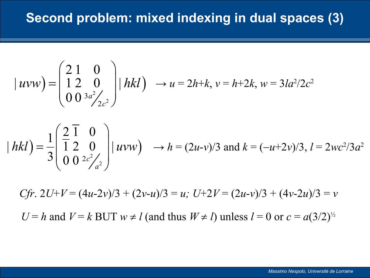$$
|uvw\rangle = \begin{pmatrix} 2 & 1 & 0 \\ 1 & 2 & 0 \\ 0 & 0 & 3a^2/2c^2 \end{pmatrix} |hkl\rangle \rightarrow u = 2h+k, v = h+2k, w = 3la^2/2c^2
$$

$$
|hkl\rangle = \frac{1}{3} \begin{pmatrix} \frac{2}{1} & \frac{1}{2} & 0 \\ 0 & 0 & \frac{2}{2} & 0 \\ 0 & 0 & \frac{2}{2} & \frac{2}{2} \end{pmatrix} |uvw\rangle \rightarrow h = (2u-v)/3 \text{ and } k = (-u+2v)/3, l = 2wc^2/3a^2
$$

*Cfr*.  $2U+V = (4u-2v)/3 + (2v-u)/3 = u$ ;  $U+2V = (2u-v)/3 + (4v-2u)/3 = v$ *U* = *h* and *V* = *k* BUT  $w \neq l$  (and thus  $W \neq l$ ) unless  $l = 0$  or  $c = a(3/2)^{1/2}$